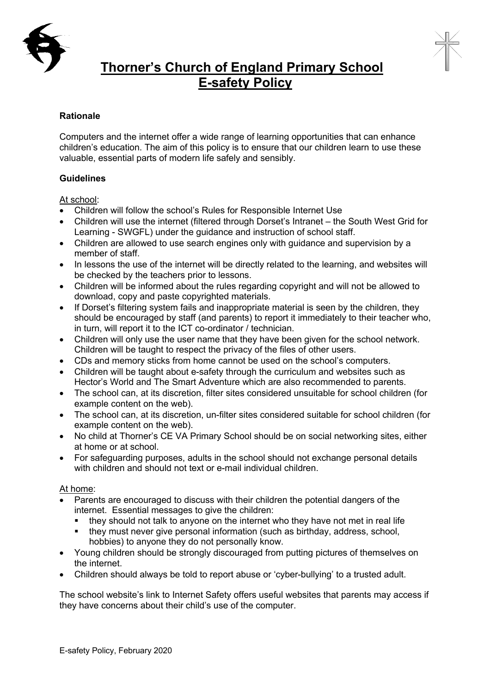



## **Thorner's Church of England Primary School E-safety Policy**

## **Rationale**

Computers and the internet offer a wide range of learning opportunities that can enhance children's education. The aim of this policy is to ensure that our children learn to use these valuable, essential parts of modern life safely and sensibly.

## **Guidelines**

At school:

- Children will follow the school's Rules for Responsible Internet Use
- Children will use the internet (filtered through Dorset's Intranet the South West Grid for Learning - SWGFL) under the guidance and instruction of school staff.
- Children are allowed to use search engines only with guidance and supervision by a member of staff.
- In lessons the use of the internet will be directly related to the learning, and websites will be checked by the teachers prior to lessons.
- Children will be informed about the rules regarding copyright and will not be allowed to download, copy and paste copyrighted materials.
- If Dorset's filtering system fails and inappropriate material is seen by the children, they should be encouraged by staff (and parents) to report it immediately to their teacher who, in turn, will report it to the ICT co-ordinator / technician.
- Children will only use the user name that they have been given for the school network. Children will be taught to respect the privacy of the files of other users.
- CDs and memory sticks from home cannot be used on the school's computers.
- Children will be taught about e-safety through the curriculum and websites such as Hector's World and The Smart Adventure which are also recommended to parents.
- The school can, at its discretion, filter sites considered unsuitable for school children (for example content on the web).
- The school can, at its discretion, un-filter sites considered suitable for school children (for example content on the web).
- No child at Thorner's CE VA Primary School should be on social networking sites, either at home or at school.
- For safeguarding purposes, adults in the school should not exchange personal details with children and should not text or e-mail individual children.

## At home:

- Parents are encouraged to discuss with their children the potential dangers of the internet. Essential messages to give the children:
	- they should not talk to anyone on the internet who they have not met in real life
	- § they must never give personal information (such as birthday, address, school, hobbies) to anyone they do not personally know.
- Young children should be strongly discouraged from putting pictures of themselves on the internet.
- Children should always be told to report abuse or 'cyber-bullying' to a trusted adult.

The school website's link to Internet Safety offers useful websites that parents may access if they have concerns about their child's use of the computer.